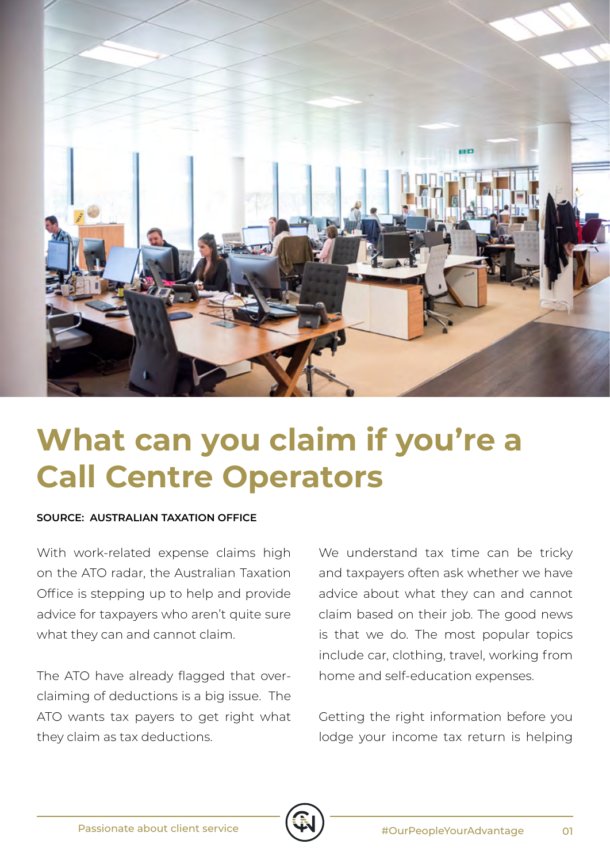

## **What can you claim if you're a Call Centre Operators**

## **SOURCE: AUSTRALIAN TAXATION OFFICE**

With work-related expense claims high on the ATO radar, the Australian Taxation Office is stepping up to help and provide advice for taxpayers who aren't quite sure what they can and cannot claim.

The ATO have already flagged that overclaiming of deductions is a big issue. The ATO wants tax payers to get right what they claim as tax deductions.

We understand tax time can be tricky and taxpayers often ask whether we have advice about what they can and cannot claim based on their job. The good news is that we do. The most popular topics include car, clothing, travel, working from home and self-education expenses.

Getting the right information before you lodge your income tax return is helping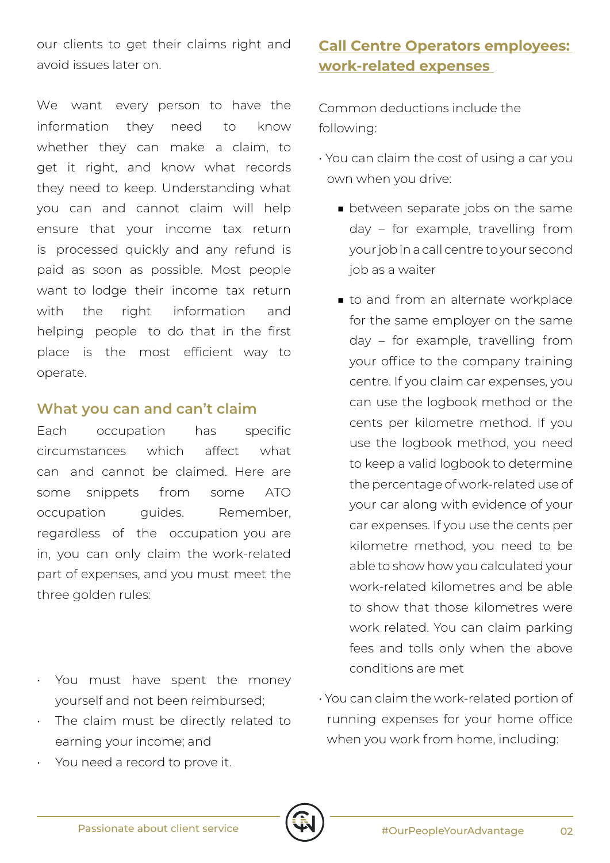our clients to get their claims right and avoid issues later on.

We want every person to have the information they need to know whether they can make a claim, to get it right, and know what records they need to keep. Understanding what you can and cannot claim will help ensure that your income tax return is processed quickly and any refund is paid as soon as possible. Most people want to lodge their income tax return with the right information and helping people to do that in the first place is the most efficient way to operate.

## **What you can and can't claim**

Each occupation has specific circumstances which affect what can and cannot be claimed. Here are some snippets from some ATO occupation guides. Remember, regardless of the occupation you are in, you can only claim the work-related part of expenses, and you must meet the three golden rules:

- You must have spent the money yourself and not been reimbursed;
- The claim must be directly related to earning your income; and
- You need a record to prove it.

## **Call Centre Operators employees: work-related expenses**

Common deductions include the following:

- You can claim the cost of using a car you own when you drive:
	- between separate jobs on the same day – for example, travelling from your job in a call centre to your second job as a waiter
	- to and from an alternate workplace for the same employer on the same day – for example, travelling from your office to the company training centre. If you claim car expenses, you can use the logbook method or the cents per kilometre method. If you use the logbook method, you need to keep a valid logbook to determine the percentage of work-related use of your car along with evidence of your car expenses. If you use the cents per kilometre method, you need to be able to show how you calculated your work-related kilometres and be able to show that those kilometres were work related. You can claim parking fees and tolls only when the above conditions are met
- You can claim the work-related portion of running expenses for your home office when you work from home, including: